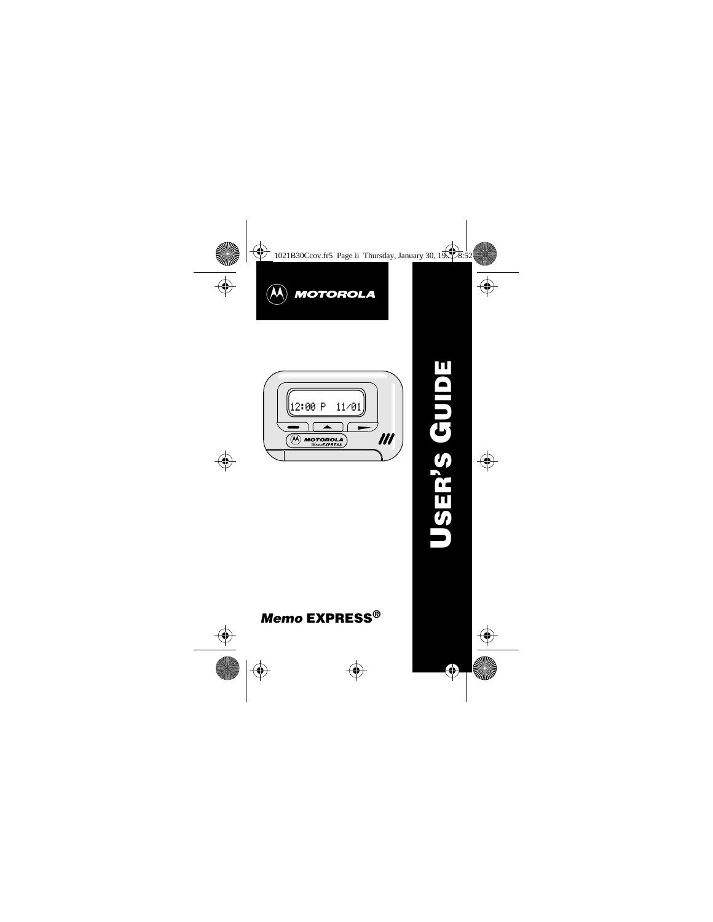



# **Memo EXPRESS®**

**USER 'S GUIDE**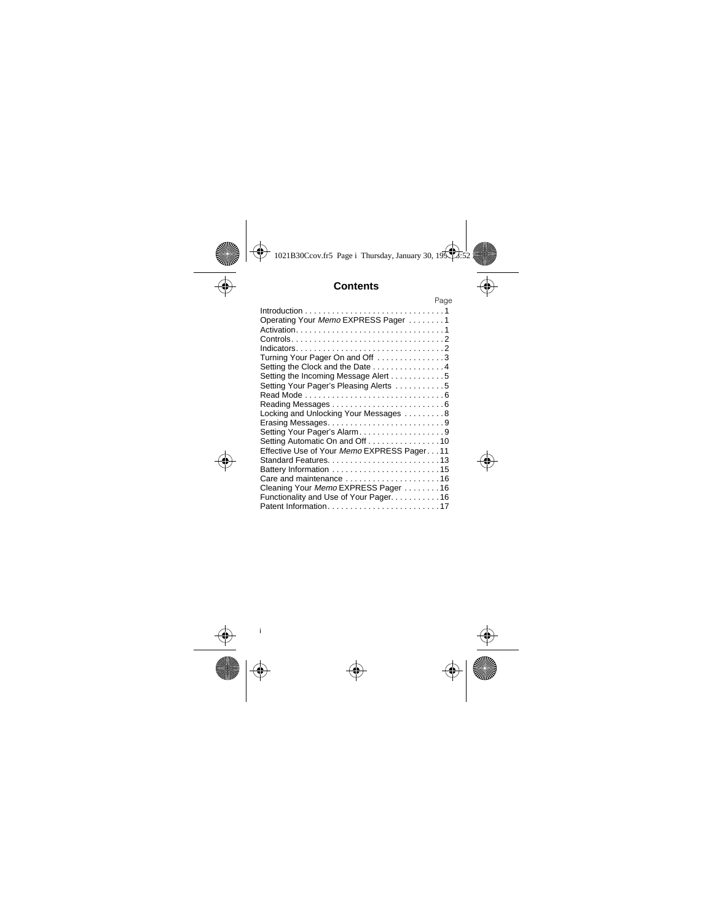# **Contents**

|                                                                                                    | Page |
|----------------------------------------------------------------------------------------------------|------|
| $Introduction \dots \dots \dots \dots \dots \dots \dots \dots \dots \dots \dots \dots \dots \dots$ |      |
| Operating Your Memo EXPRESS Pager 1                                                                |      |
|                                                                                                    |      |
|                                                                                                    |      |
|                                                                                                    |      |
| Turning Your Pager On and Off 3                                                                    |      |
| Setting the Clock and the Date 4                                                                   |      |
| Setting the Incoming Message Alert 5                                                               |      |
| Setting Your Pager's Pleasing Alerts 5                                                             |      |
|                                                                                                    |      |
|                                                                                                    |      |
| Locking and Unlocking Your Messages 8                                                              |      |
| Erasing Messages9                                                                                  |      |
| Setting Your Pager's Alarm9                                                                        |      |
| Setting Automatic On and Off 10                                                                    |      |
| Effective Use of Your Memo EXPRESS Pager11                                                         |      |
|                                                                                                    |      |
|                                                                                                    |      |
| Care and maintenance 16                                                                            |      |
| Cleaning Your Memo EXPRESS Pager 16                                                                |      |
| Functionality and Use of Your Pager. 16                                                            |      |
| Patent Information17                                                                               |      |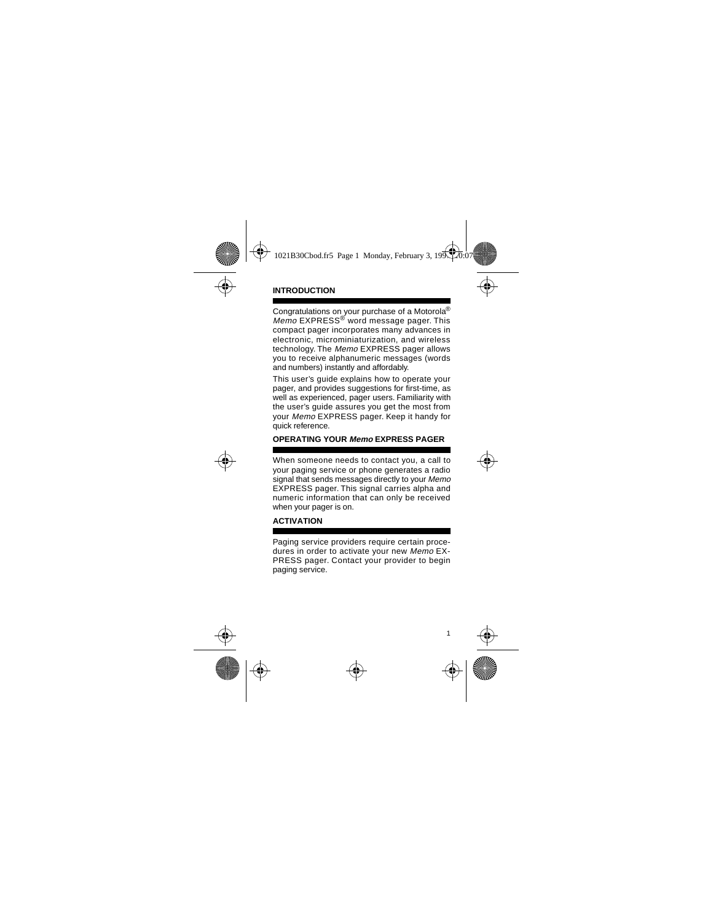## **INTRODUCTION**

Congratulations on your purchase of a Motorola® Memo EXPRESS<sup>®</sup> word message pager. This compact pager incorporates many advances in electronic, microminiaturization, and wireless technology. The Memo EXPRESS pager allows you to receive alphanumeric messages (words and numbers) instantly and affordably.

This user's guide explains how to operate your pager, and provides suggestions for first-time, as well as experienced, pager users. Familiarity with the user's guide assures you get the most from your Memo EXPRESS pager. Keep it handy for quick reference.

## **OPERATING YOUR Memo EXPRESS PAGER**

When someone needs to contact you, a call to your paging service or phone generates a radio signal that sends messages directly to your Memo EXPRESS pager. This signal carries alpha and numeric information that can only be received when your pager is on.

## **ACTIVATION**

Paging service providers require certain procedures in order to activate your new Memo EX-PRESS pager. Contact your provider to begin paging service.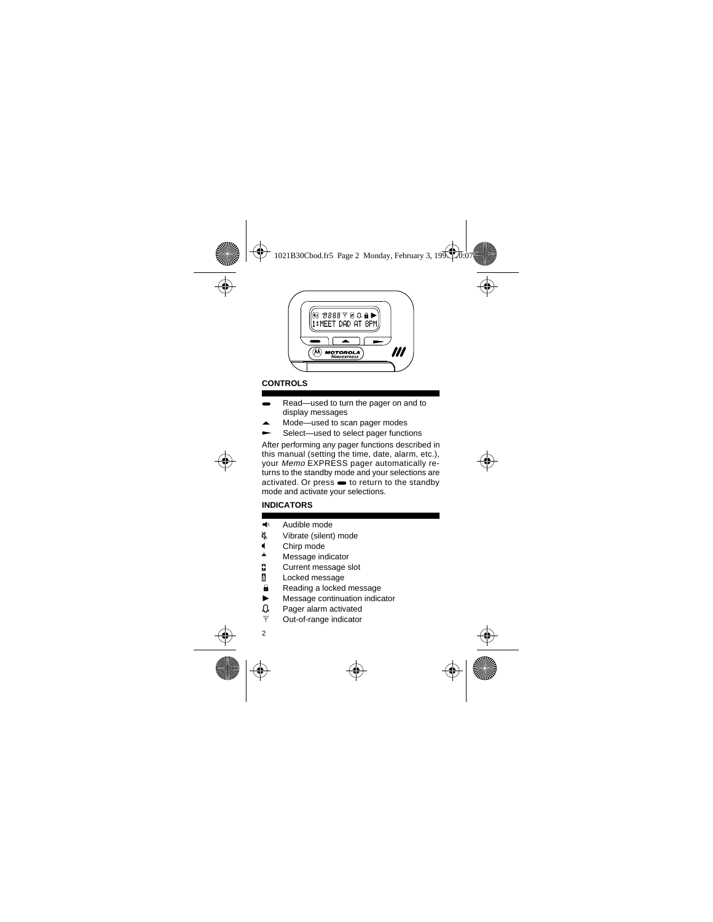

# **CONTROLS**

- Read—used to turn the pager on and to display messages
- Mode-used to scan pager modes
- Select—used to select pager functions

After performing any pager functions described in this manual (setting the time, date, alarm, etc.), your Memo EXPRESS pager automatically returns to the standby mode and your selections are  $activated.$  Or press  $\bullet$  to return to the standby mode and activate your selections.

## **INDICATORS**

- $\blacktriangleleft$  Audible mode
- d. Vibrate (silent) mode
- $\bigcup_{n=1}^{\infty}$  Chirp mode
- Message indicator
- **a** Current message slot
- **n** Locked message
- **a** Reading a locked message
- $\blacktriangleright$  Message continuation indicator
- $\Omega$  Pager alarm activated
- $\Psi$  Out-of-range indicator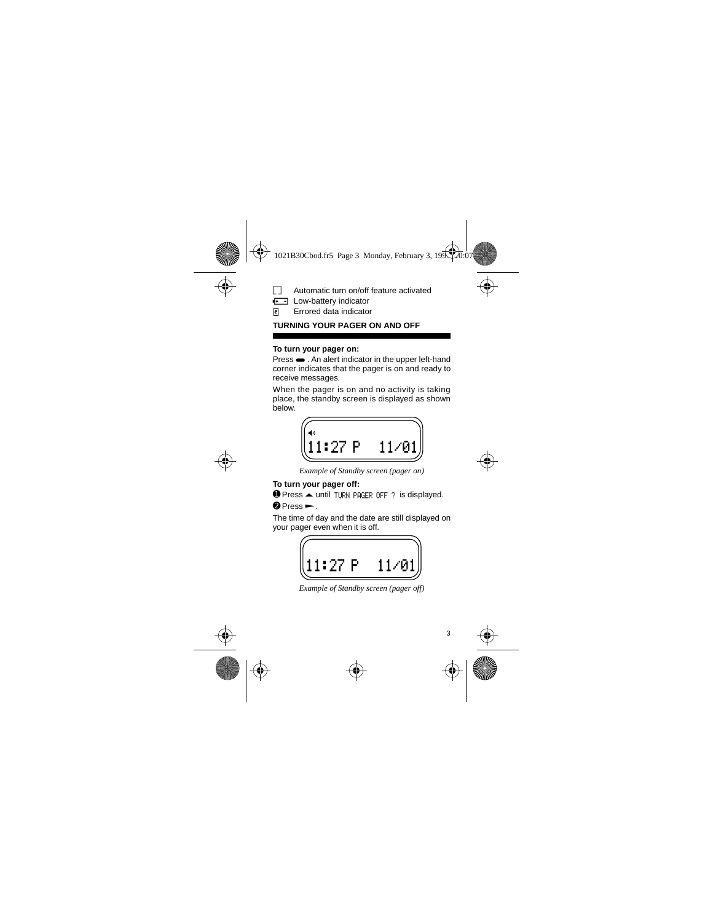# ö Automatic turn on/off feature activated

**F** - Low-battery indicator

Errored data indicator *e*

## **TURNING YOUR PAGER ON AND OFF**

#### **To turn your pager on:**

 $Press \rightarrow$  . An alert indicator in the upper left-hand corner indicates that the pager is on and ready to receive messages.

When the pager is on and no activity is taking place, the standby screen is displayed as shown **below** 



*Example of Standby screen (pager on)*

## **To turn your pager off:**

 $\bullet$  Press  $\triangle$  until TURN PAGER OFF ? is displayed.

## $\bullet$  Press $\leftarrow$ .

The time of day and the date are still displayed on your pager even when it is off.

$$
\begin{pmatrix} 11:27 & P & 11/01 \end{pmatrix}
$$

*Example of Standby screen (pager off)*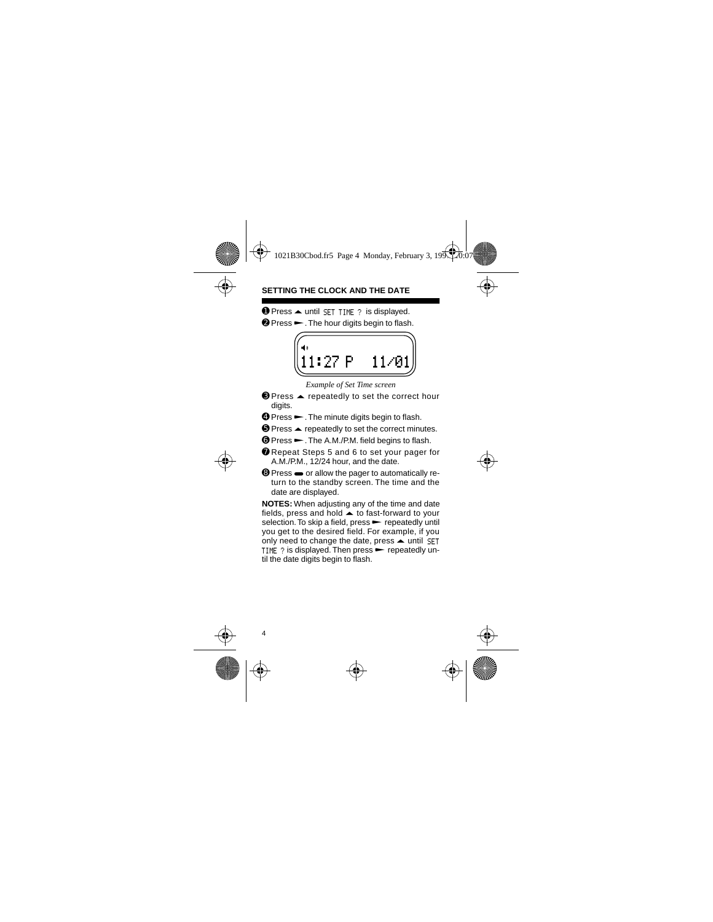## **SETTING THE CLOCK AND THE DATE**

 $\bullet$  Press  $\triangle$  until SET TIME ? is displayed.

 $\odot$  Press  $\rightarrow$ . The hour digits begin to flash.



*Example of Set Time screen*

- $\Theta$  Press  $\blacktriangle$  repeatedly to set the correct hour digits.
- ➍ Press Q. The minute digits begin to flash.
- $\Theta$  Press  $\blacktriangle$  repeatedly to set the correct minutes.
- ➏ Press Q. The A.M./P.M. field begins to flash.
- ➐ Repeat Steps 5 and 6 to set your pager for A.M./P.M., 12/24 hour, and the date.
- **<sup>◎</sup>** Press ➡ or allow the pager to automatically return to the standby screen. The time and the date are displayed.

**NOTES:** When adjusting any of the time and date fields, press and hold  $\blacktriangle$  to fast-forward to your selection. To skip a field, press  $\blacktriangleright$  repeatedly until you get to the desired field. For example, if you only need to change the date, press  $\blacktriangle$  until SET TIME  $\gamma$  is displayed. Then press  $\blacktriangleright$  repeatedly until the date digits begin to flash.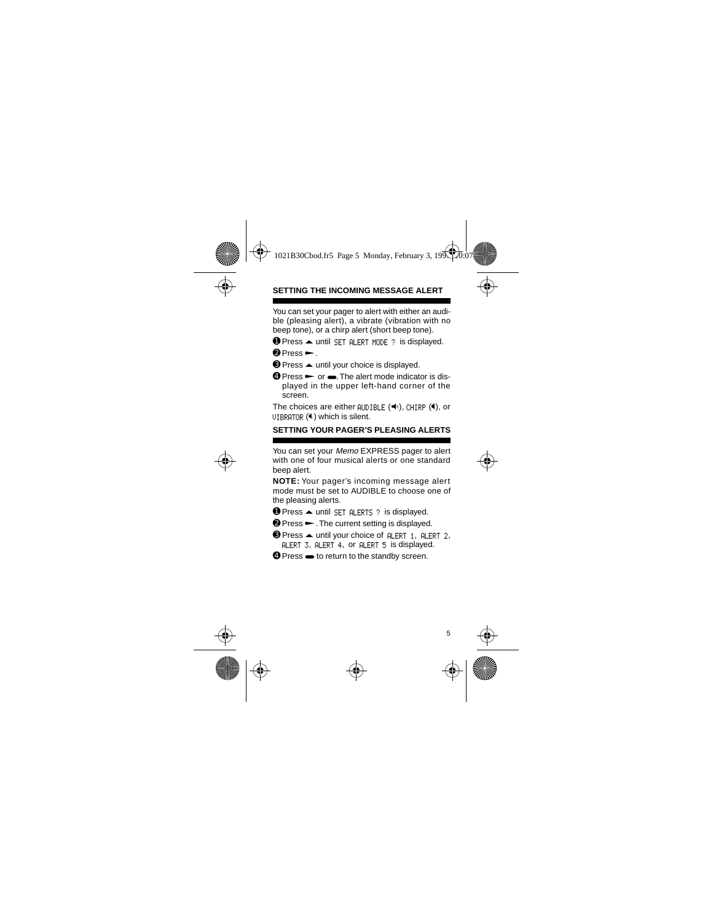## **SETTING THE INCOMING MESSAGE ALERT**

You can set your pager to alert with either an audible (pleasing alert), a vibrate (vibration with no beep tone), or a chirp alert (short beep tone).

- $\bullet$  Press  $\bullet$  until SET ALERT MODE ? is displayed.
- $\bullet$  Press  $\leftarrow$ .
- $\bigcirc$  Press  $\blacktriangle$  until your choice is displayed.
- $\bullet$  Press  $\bullet$  or  $\bullet$ . The alert mode indicator is displayed in the upper left-hand corner of the screen.

The choices are either  $AUDIBLE$  ( $\P$ ), CHIRP ( $\P$ ), or  $UIBRATOR$  ( $\&$ ) which is silent.

#### **SETTING YOUR PAGER'S PLEASING ALERTS**

You can set your Memo EXPRESS pager to alert with one of four musical alerts or one standard beep alert.

**NOTE:** Your pager's incoming message alert mode must be set to AUDIBLE to choose one of the pleasing alerts.

- $\bullet$  Press  $\bullet$  until SET ALERTS ? is displayed.
- **<sup>⊘</sup>** Press ► The current setting is displayed.
- $\Theta$  Press  $\triangle$  until your choice of ALERT 1, ALERT 2, ALERT 3, ALERT 4, or ALERT 5 is displayed.
- **<sup>◎</sup>** Press ➡ to return to the standby screen.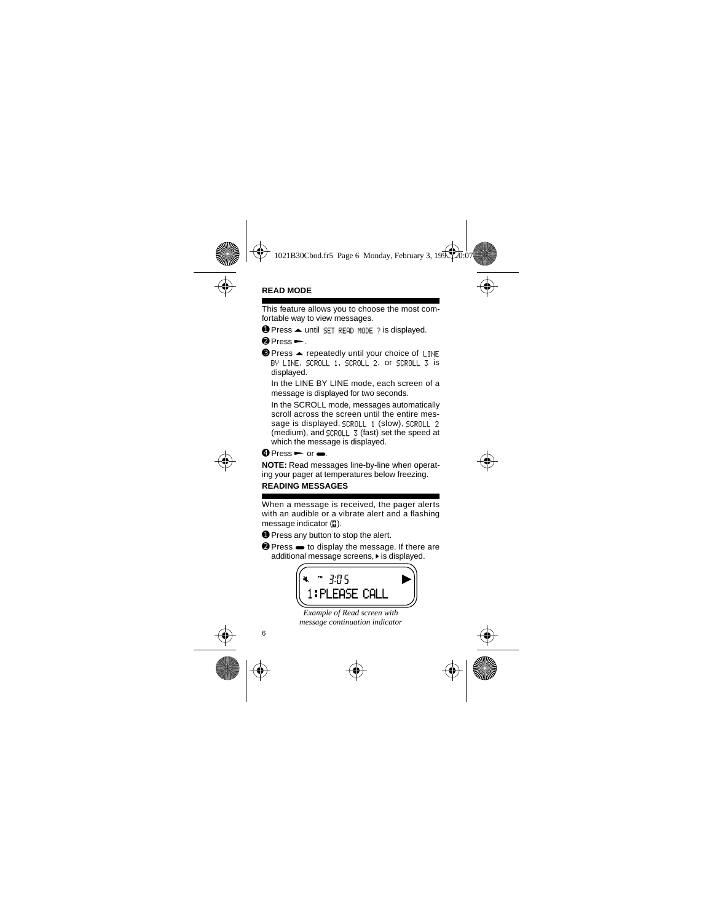## **READ MODE**

This feature allows you to choose the most comfortable way to view messages.

 $\bullet$  Press  $\bullet$  until SET READ MODE ? is displayed.

 $\bullet$  Press  $\leftarrow$ 

<sup>●</sup> Press ▲ repeatedly until your choice of LINE BY LINE, SCROLL 1, SCROLL 2, or SCROLL 3 is displayed.

In the LINE BY LINE mode, each screen of a message is displayed for two seconds.

In the SCROLL mode, messages automatically scroll across the screen until the entire message is displayed. SCROLL 1 (slow), SCROLL 2 (medium), and SCROLL 3 (fast) set the speed at which the message is displayed.

 $\mathbf{\Theta}$  Press  $\blacktriangleright$  or  $\blacksquare$ 

**NOTE:** Read messages line-by-line when operating your pager at temperatures below freezing.

## **READING MESSAGES**

When a message is received, the pager alerts with an audible or a vibrate alert and a flashing message indicator  $\binom{n}{k}$ .

- ➊ Press any button to stop the alert.
- **<sup>⊘</sup>** Press  $\bullet$  to display the message. If there are additional message screens. I is displayed.



*Example of Read screen with message continuation indicator*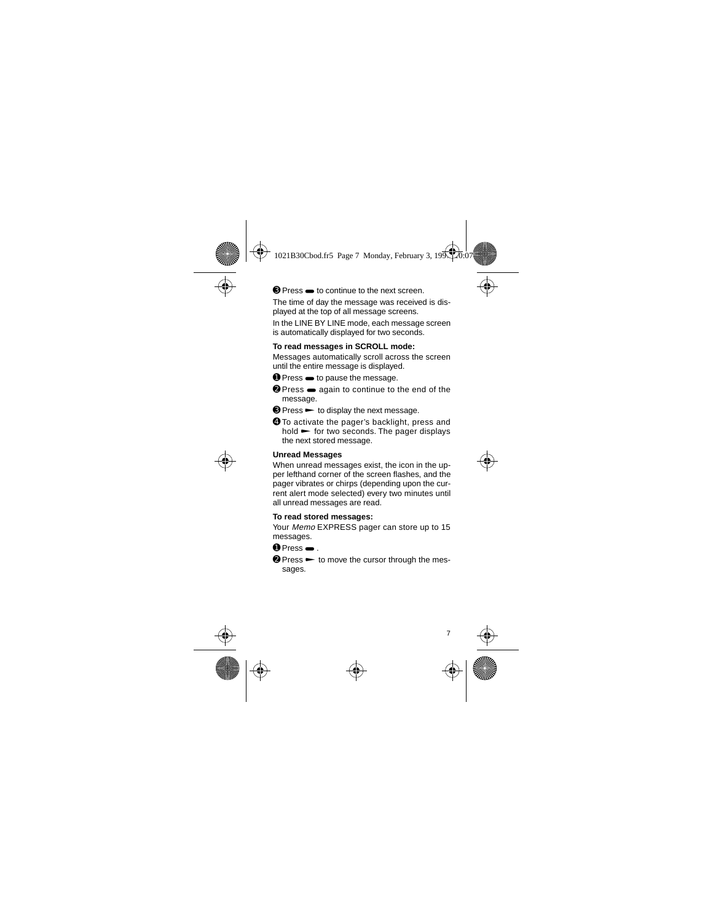➌ Press W to continue to the next screen.

The time of day the message was received is displayed at the top of all message screens.

In the LINE BY LINE mode, each message screen is automatically displayed for two seconds.

#### **To read messages in SCROLL mode:**

Messages automatically scroll across the screen until the entire message is displayed.

- $\bullet$  Press  $\bullet$  to pause the message.
- <sup>●</sup> Press  $\bullet$  again to continue to the end of the message.
- $\odot$  Press  $\rightarrow$  to display the next message.
- ➍ To activate the pager's backlight, press and  $hold \rightarrow$  for two seconds. The pager displays the next stored message.

#### **Unread Messages**

When unread messages exist, the icon in the upper lefthand corner of the screen flashes, and the pager vibrates or chirps (depending upon the current alert mode selected) every two minutes until all unread messages are read.

#### **To read stored messages:**

Your Memo EXPRESS pager can store up to 15 messages.

 $\bullet$  Press  $\bullet$ 

 $\bullet$  Press  $\bullet$  to move the cursor through the messages.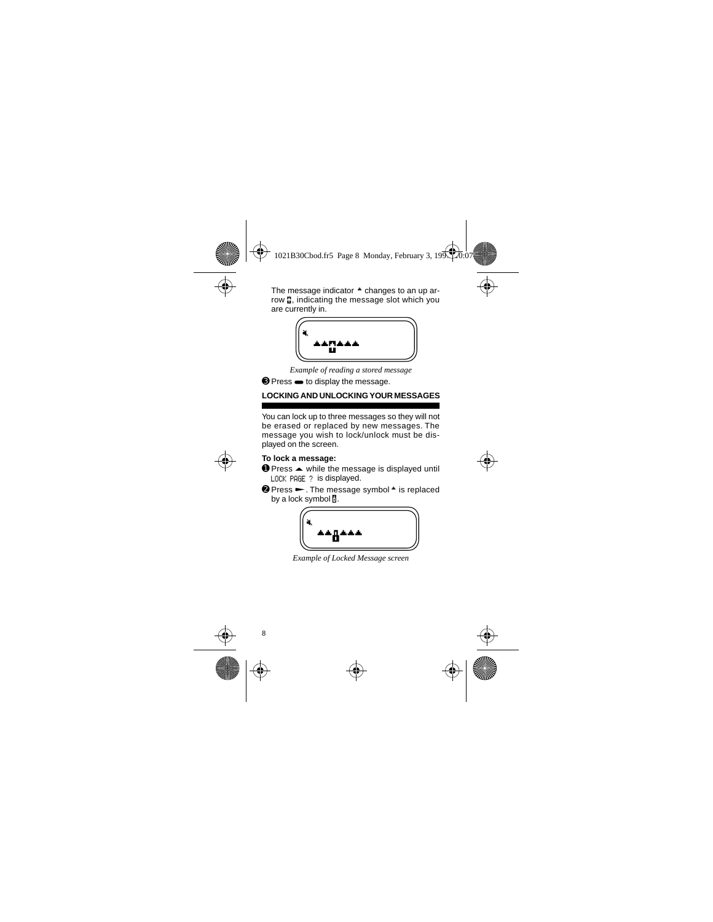The message indicator  $\triangle$  changes to an up arrow **..** indicating the message slot which you are currently in.



*Example of reading a stored message*

➌ Press W to display the message.

# **LOCKING AND UNLOCKING YOUR MESSAGES**

You can lock up to three messages so they will not be erased or replaced by new messages. The message you wish to lock/unlock must be displayed on the screen.

#### **To lock a message:**

- $\bullet$  Press  $\blacktriangle$  while the message is displayed until LOCK PAGE ? is displayed.
- $\odot$  Press  $\rightarrow$ . The message symbol  $\triangle$  is replaced by a lock symbol  $\overline{\mathbb{N}}$ .



*Example of Locked Message screen*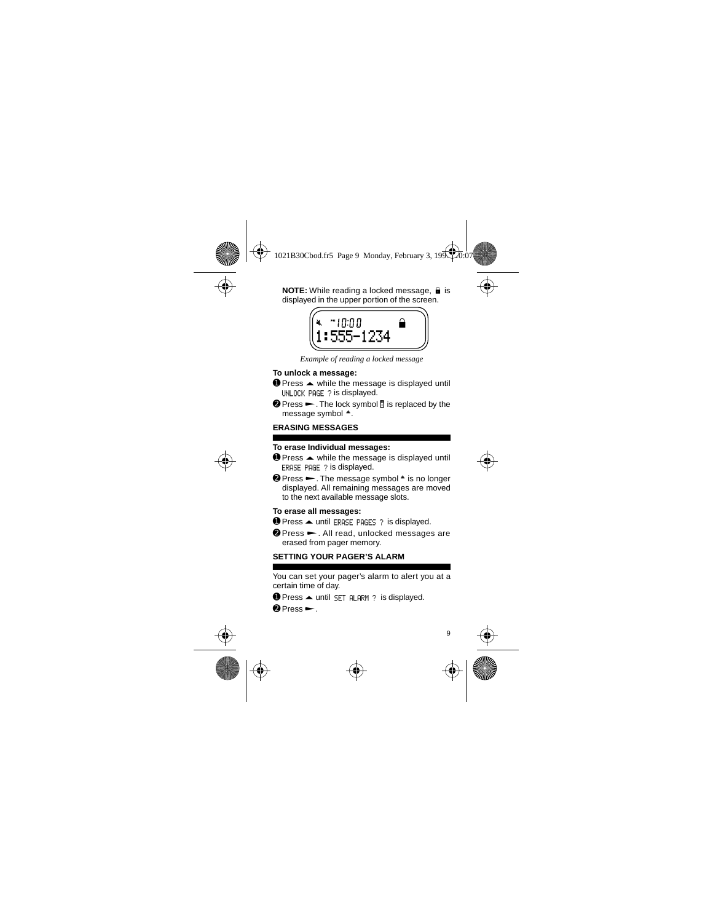**NOTE:** While reading a locked message,  $\theta$  is displayed in the upper portion of the screen.



*Example of reading a locked message*

## **To unlock a message:**

- $\bullet$  Press  $\blacktriangle$  while the message is displayed until UNLOCK PAGE ? is displayed.
- $\bullet$  Press  $\leftarrow$ . The lock symbol  $\overline{a}$  is replaced by the message symbol  $\triangle$ .

## **ERASING MESSAGES**

#### **To erase Individual messages:**

- **O** Press ▲ while the message is displayed until ERASE PAGE ? is displayed.
- $\odot$  Press  $\rightarrow$ . The message symbol  $\dot{\bullet}$  is no longer displayed. All remaining messages are moved to the next available message slots.

#### **To erase all messages:**

- $\bullet$  Press  $\bullet$  until ERASE PAGES ? is displayed.
- **<sup>②</sup> Press ►.** All read, unlocked messages are erased from pager memory.

## **SETTING YOUR PAGER'S ALARM**

You can set your pager's alarm to alert you at a certain time of day.

 $\bullet$  Press  $\bullet$  until SET ALARM ? is displayed.

 $\bullet$  Press  $\leftarrow$ .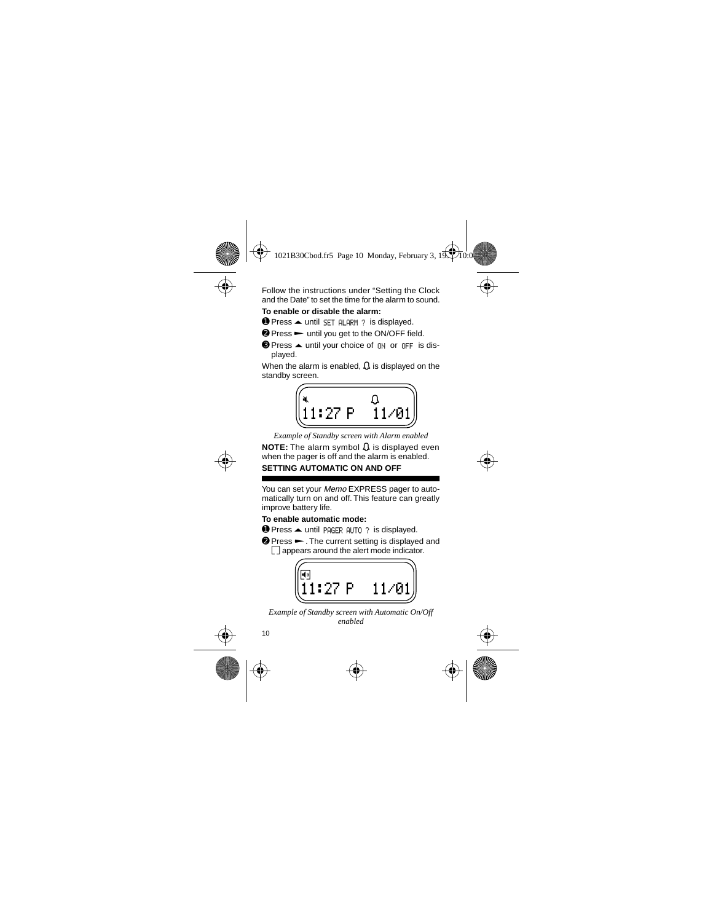Follow the instructions under "Setting the Clock and the Date" to set the time for the alarm to sound.

## **To enable or disable the alarm:**

 $\bullet$  Press  $\triangle$  until SET ALARM ? is displayed.

- **❷ Press ► until you get to the ON/OFF field.**
- <sup>●</sup> Press ▲ until your choice of  $\overline{M}$  or  $\overline{M}$  is displayed.

When the alarm is enabled,  $\Omega$  is displayed on the standby screen.



*Example of Standby screen with Alarm enabled*

**NOTE:** The alarm symbol **Ω** is displayed even when the pager is off and the alarm is enabled.

# **SETTING AUTOMATIC ON AND OFF**

You can set your Memo EXPRESS pager to automatically turn on and off. This feature can greatly improve battery life.

## **To enable automatic mode:**

- $\bullet$  Press  $\bullet$  until PAGER AUTO ? is displayed.
- $\bullet$  Press  $\bullet$ . The current setting is displayed and  $\Box$  appears around the alert mode indicator.



*Example of Standby screen with Automatic On/Off enabled*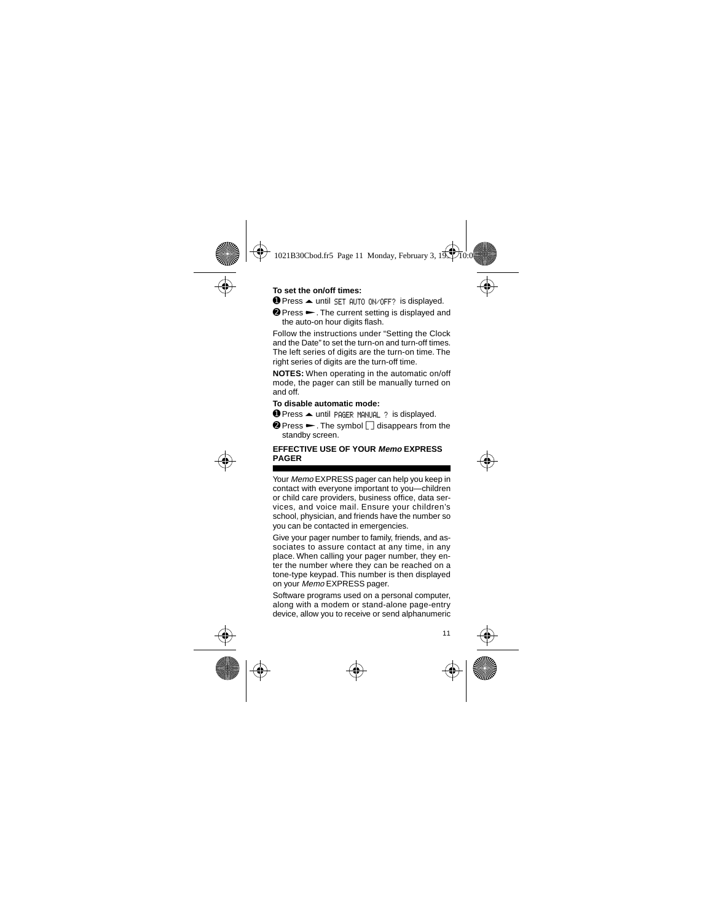#### **To set the on/off times:**

 $\bullet$  Press  $\bullet$  until SET AUTO ON/OFF? is displayed.

<sup>●</sup> Press ►. The current setting is displayed and the auto-on hour digits flash.

Follow the instructions under "Setting the Clock and the Date" to set the turn-on and turn-off times. The left series of digits are the turn-on time. The right series of digits are the turn-off time.

**NOTES:** When operating in the automatic on/off mode, the pager can still be manually turned on and off.

#### **To disable automatic mode:**

**O** Press ▲ until PAGER MANUAL ? is displayed.

 $\bullet$  Press  $\leftarrow$  . The symbol  $\Box$  disappears from the standby screen.

#### **EFFECTIVE USE OF YOUR Memo EXPRESS PAGER**

Your Memo EXPRESS pager can help you keep in contact with everyone important to you—children or child care providers, business office, data services, and voice mail. Ensure your children's school, physician, and friends have the number so you can be contacted in emergencies.

Give your pager number to family, friends, and associates to assure contact at any time, in any place. When calling your pager number, they enter the number where they can be reached on a tone-type keypad. This number is then displayed on your *Memo* EXPRESS pager.

Software programs used on a personal computer, along with a modem or stand-alone page-entry device, allow you to receive or send alphanumeric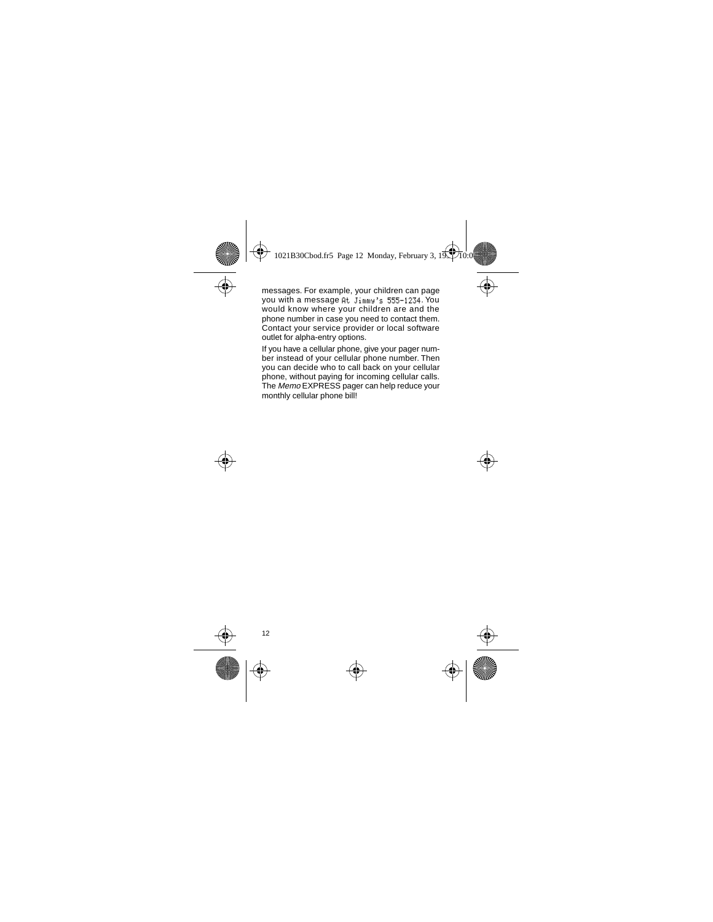messages. For example, your children can page you with a message At Jimmy's 555-1234. You would know where your children are and the phone number in case you need to contact them. Contact your service provider or local software outlet for alpha-entry options.

If you have a cellular phone, give your pager number instead of your cellular phone number. Then you can decide who to call back on your cellular phone, without paying for incoming cellular calls. The Memo EXPRESS pager can help reduce your monthly cellular phone bill!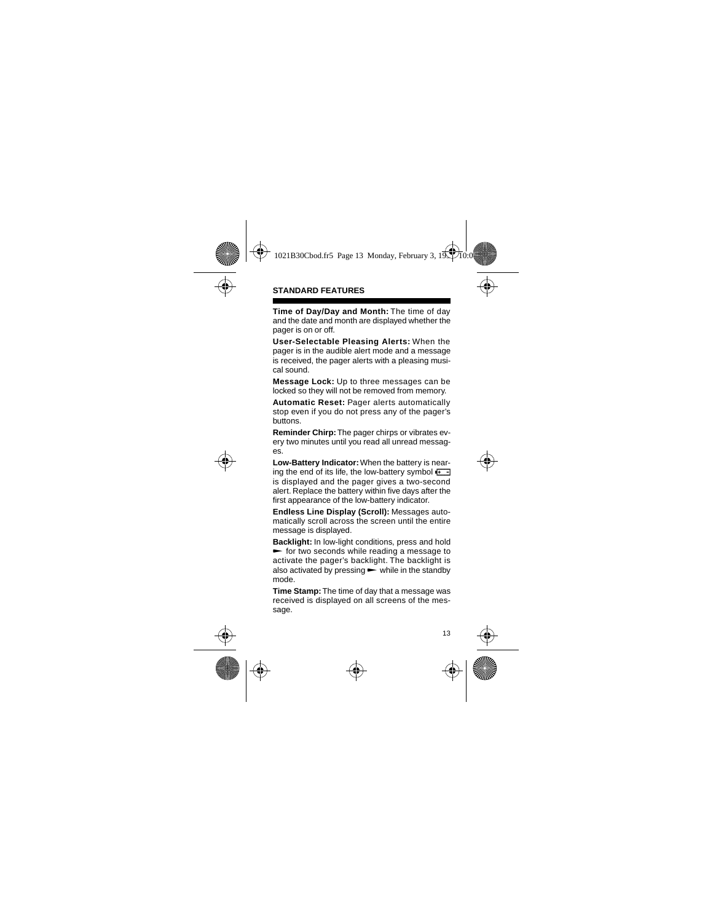## **STANDARD FEATURES**

**Time of Day/Day and Month:** The time of day and the date and month are displayed whether the pager is on or off.

**User-Selectable Pleasing Alerts:** When the pager is in the audible alert mode and a message is received, the pager alerts with a pleasing musical sound.

**Message Lock:** Up to three messages can be locked so they will not be removed from memory.

**Automatic Reset:** Pager alerts automatically stop even if you do not press any of the pager's buttons.

**Reminder Chirp:** The pager chirps or vibrates every two minutes until you read all unread messages.

**Low-Battery Indicator:** When the battery is nearing the end of its life, the low-battery symbol  $\overline{A}$ . is displayed and the pager gives a two-second alert. Replace the battery within five days after the first appearance of the low-battery indicator.

**Endless Line Display (Scroll):** Messages automatically scroll across the screen until the entire message is displayed.

**Backlight:** In low-light conditions, press and hold  $\blacktriangleright$  for two seconds while reading a message to activate the pager's backlight. The backlight is also activated by pressing  $\blacktriangleright$  while in the standby mode.

**Time Stamp:** The time of day that a message was received is displayed on all screens of the message.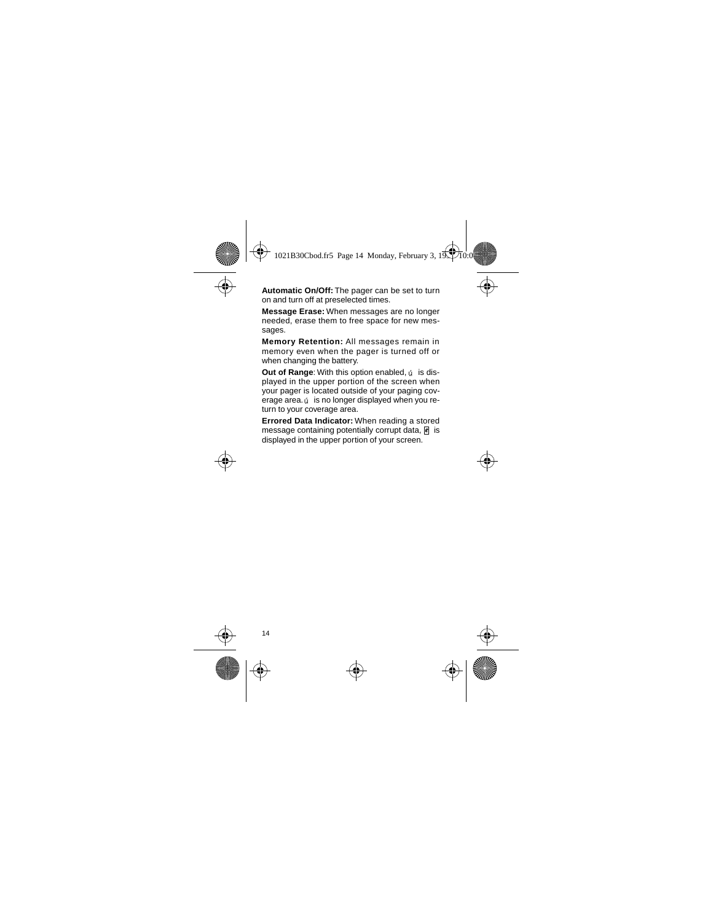**Automatic On/Off:** The pager can be set to turn on and turn off at preselected times.

**Message Erase:** When messages are no longer needed, erase them to free space for new messages.

**Memory Retention:** All messages remain in memory even when the pager is turned off or when changing the battery.

**Out of Range:** With this option enabled,  $\phi$  is displayed in the upper portion of the screen when your pager is located outside of your paging coverage area. ú is no longer displayed when you return to your coverage area.

**Errored Data Indicator:** When reading a stored message containing potentially corrupt data, **e** is displayed in the upper portion of your screen.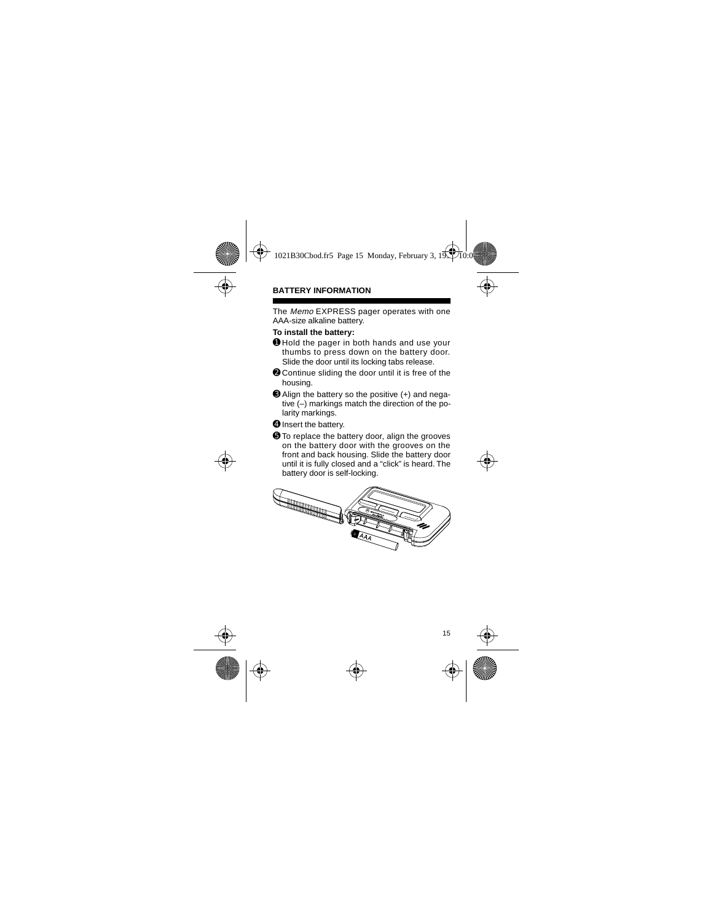## **BATTERY INFORMATION**

The Memo EXPRESS pager operates with one AAA-size alkaline battery.

#### **To install the battery:**

- ➊ Hold the pager in both hands and use your thumbs to press down on the battery door. Slide the door until its locking tabs release.
- **<sup>●</sup>** Continue sliding the door until it is free of the housing.
- ➌ Align the battery so the positive (+) and negative (–) markings match the direction of the polarity markings.
- ➍ Insert the battery.
- ➎ To replace the battery door, align the grooves on the battery door with the grooves on the front and back housing. Slide the battery door until it is fully closed and a "click" is heard. The battery door is self-locking.

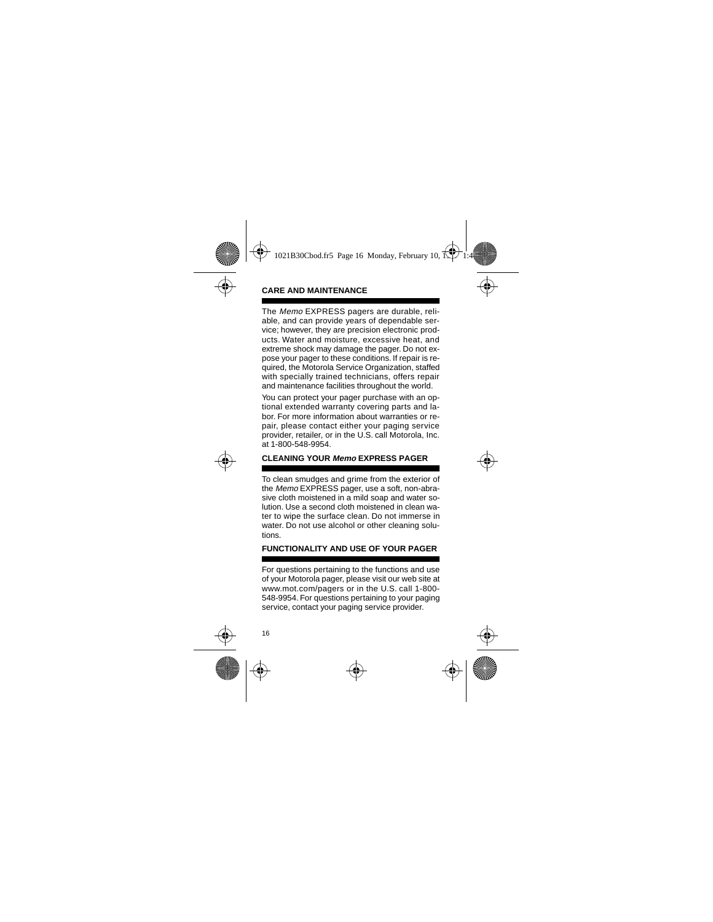## **CARE AND MAINTENANCE**

The Memo EXPRESS pagers are durable, reliable, and can provide years of dependable service; however, they are precision electronic products. Water and moisture, excessive heat, and extreme shock may damage the pager. Do not expose your pager to these conditions. If repair is required, the Motorola Service Organization, staffed with specially trained technicians, offers repair and maintenance facilities throughout the world.

You can protect your pager purchase with an optional extended warranty covering parts and labor. For more information about warranties or repair, please contact either your paging service provider, retailer, or in the U.S. call Motorola, Inc. at 1-800-548-9954.

## **CLEANING YOUR Memo EXPRESS PAGER**

To clean smudges and grime from the exterior of the Memo EXPRESS pager, use a soft, non-abrasive cloth moistened in a mild soap and water solution. Use a second cloth moistened in clean water to wipe the surface clean. Do not immerse in water. Do not use alcohol or other cleaning solutions.

## **FUNCTIONALITY AND USE OF YOUR PAGER**

For questions pertaining to the functions and use of your Motorola pager, please visit our web site at www.mot.com/pagers or in the U.S. call 1-800- 548-9954. For questions pertaining to your paging service, contact your paging service provider.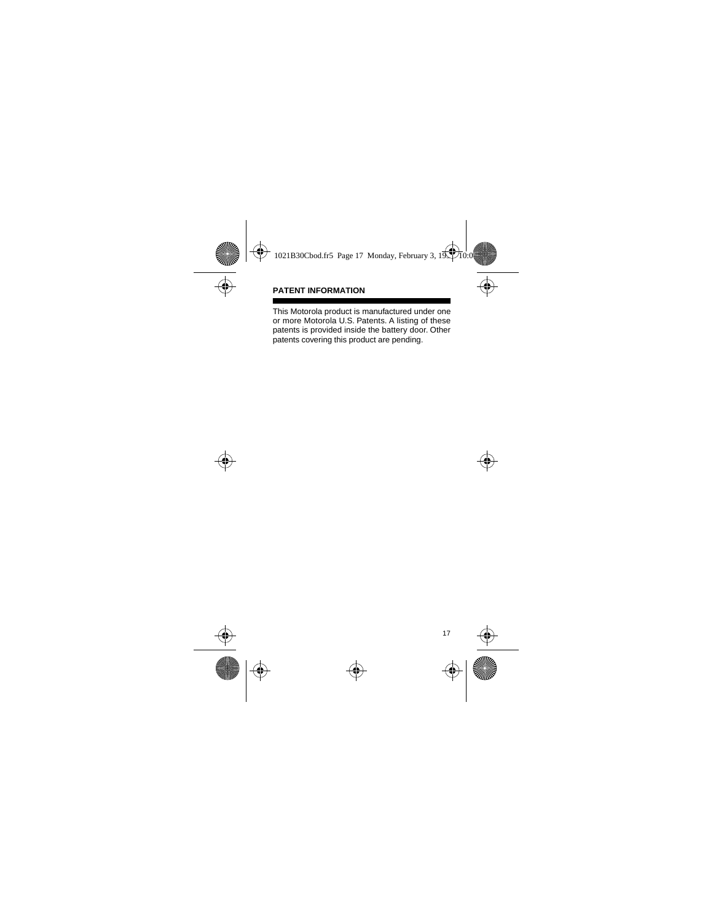## **PATENT INFORMATION**

This Motorola product is manufactured under one or more Motorola U.S. Patents. A listing of these patents is provided inside the battery door. Other patents covering this product are pending.